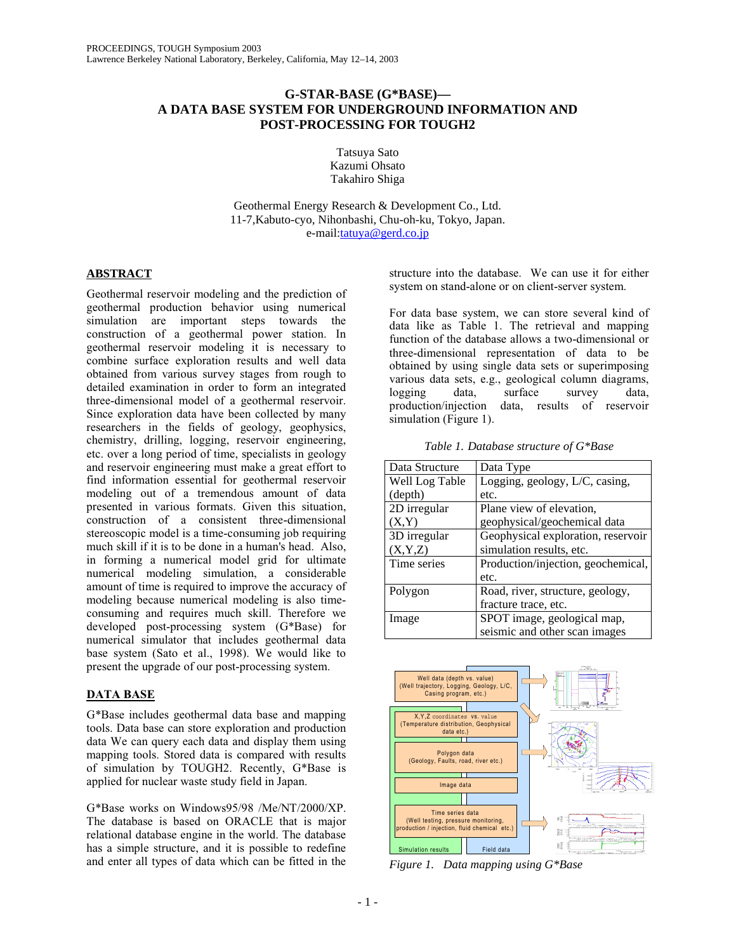## **G-STAR-BASE (G\*BASE)— A DATA BASE SYSTEM FOR UNDERGROUND INFORMATION AND POST-PROCESSING FOR TOUGH2**

Tatsuya Sato Kazumi Ohsato Takahiro Shiga

Geothermal Energy Research & Development Co., Ltd. 11-7,Kabuto-cyo, Nihonbashi, Chu-oh-ku, Tokyo, Japan. e-mail:tatuya@gerd.co.jp

## **ABSTRACT**

Geothermal reservoir modeling and the prediction of geothermal production behavior using numerical simulation are important steps towards the construction of a geothermal power station. In geothermal reservoir modeling it is necessary to combine surface exploration results and well data obtained from various survey stages from rough to detailed examination in order to form an integrated three-dimensional model of a geothermal reservoir. Since exploration data have been collected by many researchers in the fields of geology, geophysics, chemistry, drilling, logging, reservoir engineering, etc. over a long period of time, specialists in geology and reservoir engineering must make a great effort to find information essential for geothermal reservoir modeling out of a tremendous amount of data presented in various formats. Given this situation, construction of a consistent three-dimensional stereoscopic model is a time-consuming job requiring much skill if it is to be done in a human's head. Also, in forming a numerical model grid for ultimate numerical modeling simulation, a considerable amount of time is required to improve the accuracy of modeling because numerical modeling is also timeconsuming and requires much skill. Therefore we developed post-processing system (G\*Base) for numerical simulator that includes geothermal data base system (Sato et al., 1998). We would like to present the upgrade of our post-processing system.

# **DATA BASE**

G\*Base includes geothermal data base and mapping tools. Data base can store exploration and production data We can query each data and display them using mapping tools. Stored data is compared with results of simulation by TOUGH2. Recently, G\*Base is applied for nuclear waste study field in Japan.

G\*Base works on Windows95/98 /Me/NT/2000/XP. The database is based on ORACLE that is major relational database engine in the world. The database has a simple structure, and it is possible to redefine and enter all types of data which can be fitted in the

structure into the database. We can use it for either system on stand-alone or on client-server system.

For data base system, we can store several kind of data like as Table 1. The retrieval and mapping function of the database allows a two-dimensional or three-dimensional representation of data to be obtained by using single data sets or superimposing various data sets, e.g., geological column diagrams, logging data, surface survey data, production/injection data, results of reservoir simulation (Figure 1).

*Table 1. Database structure of G\*Base* 

| Data Structure | Data Type                          |
|----------------|------------------------------------|
| Well Log Table | Logging, geology, L/C, casing,     |
| (depth)        | etc.                               |
| 2D irregular   | Plane view of elevation,           |
| (X,Y)          | geophysical/geochemical data       |
| 3D irregular   | Geophysical exploration, reservoir |
| (X, Y, Z)      | simulation results, etc.           |
| Time series    | Production/injection, geochemical, |
|                | etc.                               |
| Polygon        | Road, river, structure, geology,   |
|                | fracture trace, etc.               |
| Image          | SPOT image, geological map,        |
|                | seismic and other scan images      |



*Figure 1. Data mapping using G\*Base*